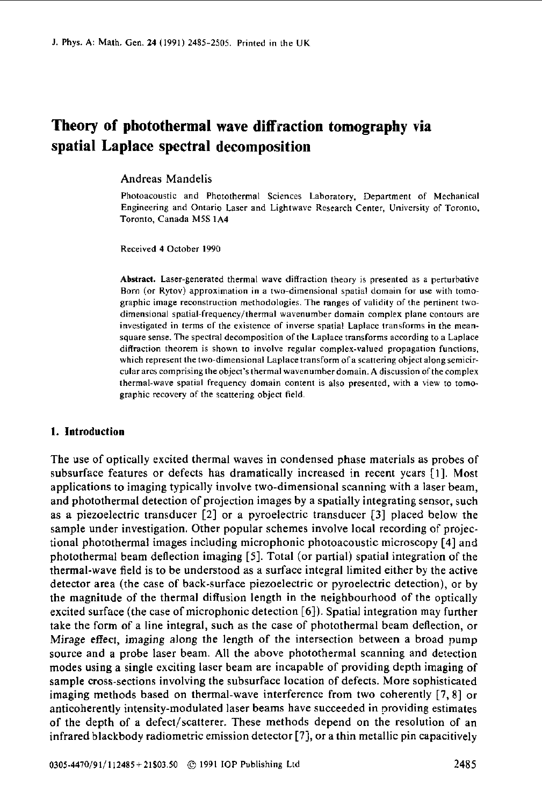# **Theory of photothermal wave diffraction tomography via spatial Laplace spectral decomposition**

Andreas Mandelis

Photoacoustic and Photothermal Sciences Laboratory, Department of Mechanical Engineering and Ontario **Laser** and Lightwave Research Center, University of Toronto, Toronto, Canada **M5S 1A4** 

Received **4** October **1990** 

Abstract. Laser-generated thermal **wave** diffraction theory is presented as **a** perturbative Born **(or** Rytav) approximation in **a** two-dimensional spatial domain for use with tomographic image reconstruction methodologies. The **ranges** of validity of the pertinent twodimensional **spatial-frequencylthermal** wavenumber domain complex plane contours are investigated in terms **of** the existence af inverse spatial Laplace transforms in the **meansquare** sense. The spectral decomposition of the **Laplace** transforms according to a Laplace diffraction theorem is shown to involve regular complex-valued propagation functions, which represent the two-dimensional Laplace transform **afa** scattering abject alongsemicir**culm** arcs comprising the objcct's thermal wavenumber domain. **A** discussion ofthe complex thermal-wave spatial frequency domain content is **also** presented, with **a** view to tomographic recovery of the scattering abject field.

#### **1.** Introduction

The use of optically excited thermal waves in condensed phase materials as probes of subsurface features or defects has dramatically increased in recent years **[I].** Most applications to imaging typically involve two-dimensional scanning with a laser beam, and photothermal detection of projection images by a spatially integrating sensor, such as a piezoelectric transducer **[2]** or a pyroelectric transducer [3] placed below the sample under investigation. Other popular schemes involve local recording of projectional photothermal images including microphonic photoacoustic microscopy [4] and photothermal beam deflection imaging **[5].** Total (or partial) spatial integration of the thermal-wave field is to be understood as a surface integral limited either by the active detector area (the case of back-surface piezoelectric or pyroelectric detection), or by the magnitude of the thermal diffusion length in the neighbourhood of the optically excited surface (the case of microphonic detection *[6]).* Spatial integration may further take the form of a line integral, such as the case of photothermal beam deflection, or Mirage effect, imaging along the length of the intersection between a broad pump source and a probe laser beam. All the above photothermal scanning and detection modes using a single exciting laser beam are incapable of providing depth imaging of sample cross-sections involving the subsurface location of defects. More sophisticated imaging methods based on thermal-wave interference from two coherently **[7,8]** or anticoherently intensity-modulated laser beams have succeeded in providing estimates of the depth of a defect/scatterer. These methods depend on the resolution of an infrared blackbody radiometric emission detector **[7],** or a thin metallic pin capacitively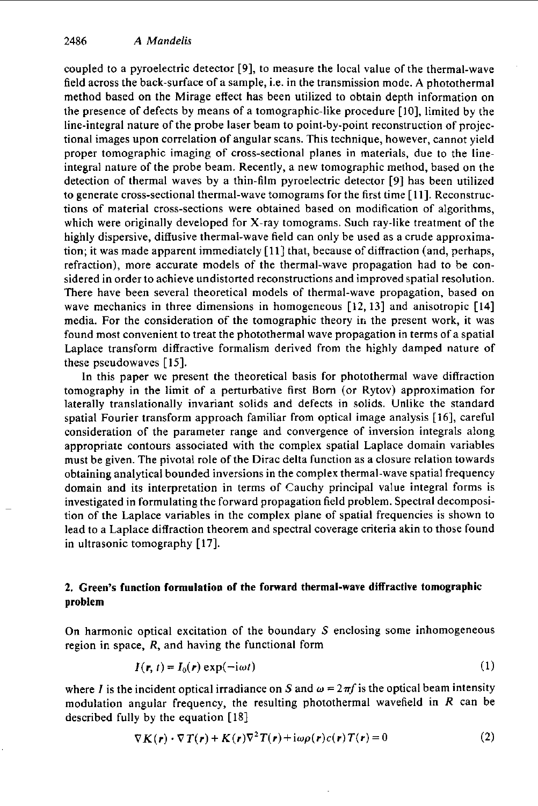coupled to a pyroelectric detector **[9],** to measure the local value of the thermal-wave field across the back-surface of a sample, i.e. in the transmission mode. **A** photothermal method based on the Mirage effect **has** been utilized to obtain depth information on the presence of defects by means of a tomographic-like procedure **[lo],** limited by the line-integral nature of the probe laser beam to point-by-point reconstruction of projectional images upon correlation **of** angular scans. This technique, however, cannot yield proper tomographic imaging of cross-sectional planes in materials, due to the lineintegral nature of the probe beam. Recently, a new tomographic method, based on the detection of thermal waves by a thin-film pyroelectric detector **[9]** has been utilized to generate cross-sectional thermal-wave tomograms for the first time [ **111.** Reconstructions of material cross-sections were obtained based on modification of algorithms, which were originally developed for X-ray tomograms. Such ray-like treatment of the highly dispersive, diffusive thermal-wave field can only be used as a crude approximation; it was made apparent immediately **[ll]** that, because of diffraction (and, perhaps, refraction), more accurate models of the thermal-wave propagation had to be considered in order to achieve undistorted reconstructions and improved spatial resolution. There have been several theoretical models of thermal-wave propagation, based on wave mechanics in three dimensions in homogeneous **[12,13]** and anisotropic **[I41**  media. For the consideration of the tomographic theory iri the present work, it was found most convenient to treat the photothermal wave propagation in terms of a spatial Laplace transform diffractive formalism derived from the highly damped nature of these pseudowaves **[15].** 

In this paper we present the theoretical basis for photothermal wave diffraction tomography in the limit of a perturbative first Born (or Rytov) approximation for laterally translationally invariant solids and defects in solids. Unlike the standard spatial Fourier transform approach familiar from optical image analysis [ **161,** careful consideration **of** the parameter range and convergence of inversion integrals along appropriate contours associated with the complex spatial Laplace domain variables must be given. The pivotal role **of** the Dirac delta function as a closure relation towards obtaining analytical bounded inversions in the complex thermal-wave spatial frequency domain and its interpretation in terms of Cauchy principal value integral forms is investigated in formulating the forward propagation field problem. Spectral decomposition of the Laplace variables in the complex plane of spatial frequencies is shown to lead to a Laplace diffraction theorem and spectral coverage criteria akin to those found in ultrasonic tomography **[17].** 

## **2.** Green's function formulation of the forward thermal-wave diffractive tomographic problem

On harmonic optical excitation of the boundary S enclosing some inhomogeneous region in space, *R,* and having the functional form

$$
I(\mathbf{r}, t) = I_0(\mathbf{r}) \exp(-\mathrm{i}\omega t) \tag{1}
$$

where *I* is the incident optical irradiance on *S* and  $\omega = 2\pi f$  is the optical beam intensity modulation angular frequency, the resulting photothermal wavefield in *R* can be described fully by the equation [ **181** 

$$
\nabla K(\mathbf{r}) \cdot \nabla T(\mathbf{r}) + K(\mathbf{r}) \nabla^2 T(\mathbf{r}) + i\omega \rho(\mathbf{r}) c(\mathbf{r}) T(\mathbf{r}) = 0
$$
 (2)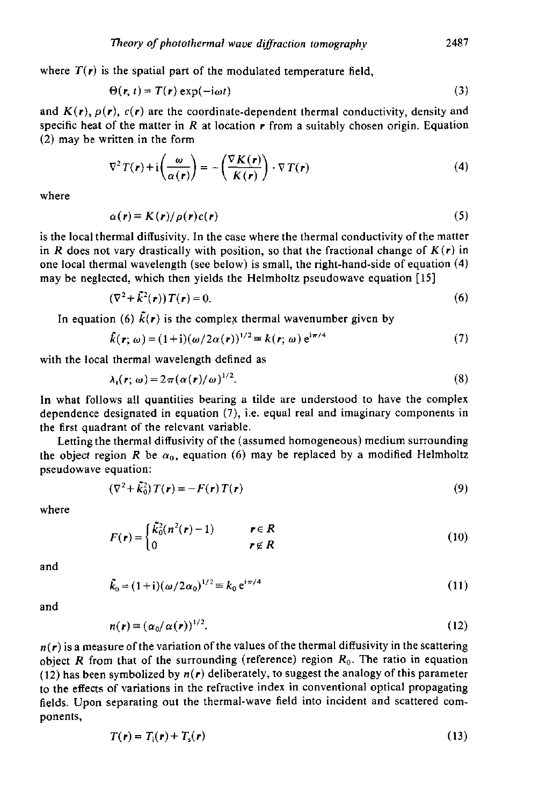where  $T(r)$  is the spatial part of the modulated temperature field,

$$
\Theta(\mathbf{r}, t) = T(\mathbf{r}) \exp(-i\omega t) \tag{3}
$$

and  $K(r)$ ,  $\rho(r)$ ,  $c(r)$  are the coordinate-dependent thermal conductivity, density and specific heat of the matter in *R* at location *r* from a suitably chosen origin. Equation *(2)* may he written in the form

$$
\nabla^2 T(\mathbf{r}) + \mathbf{i} \left( \frac{\omega}{\alpha(\mathbf{r})} \right) = -\left( \frac{\nabla K(\mathbf{r})}{K(\mathbf{r})} \right) \cdot \nabla T(\mathbf{r}) \tag{4}
$$

where

$$
\alpha(\mathbf{r}) \equiv K(\mathbf{r})/\rho(\mathbf{r})c(\mathbf{r})
$$
\n(5)

is the local thermal diffusivity. In the case where the thermal conductivity of the matter in *R* does not vary drastically with position, so that the fractional change of  $K(r)$  in one local thermal wavelength (see below) is small, the right-hand-side of equation **(4)**  may be neglected, which then yields the Helmholtz pseudowave equation [15]

$$
(\nabla^2 + \tilde{k}^2(\mathbf{r})) T(\mathbf{r}) = 0. \tag{6}
$$

In equation (6)  $\tilde{k}(r)$  is the complex thermal wavenumber given by

$$
\tilde{k}(\mathbf{r};\,\omega)=(1+i)(\omega/2\alpha(\mathbf{r}))^{1/2}\equiv k(\mathbf{r};\,\omega)\,\mathrm{e}^{\mathrm{i}\pi/4}\qquad\qquad(7)
$$

with the local thermal wavelength defined as

$$
\lambda_{i}(\mathbf{r};\,\omega)=2\pi(\alpha(\mathbf{r})/\omega)^{1/2}.\tag{8}
$$

In what follows all quantities hearing a tilde are understood to have the complex dependence designated in equation **(7),** i.e. equal real and imaginary components in the first quadrant of the relevant variable.

Letting the thermal diffusivity of the (assumed homogeneous) medium surrounding the object region *R* be  $\alpha_0$ , equation (6) may be replaced by a modified Helmholtz pseudowave equation:

$$
(\nabla^2 + \tilde{k}_0^2) T(\mathbf{r}) = -F(\mathbf{r}) T(\mathbf{r})
$$
\n(9)

where

$$
F(r) = \begin{cases} \tilde{\mathcal{K}}_0^2(n^2(r)-1) & r \in R \\ 0 & r \notin R \end{cases}
$$
 (10)

and

$$
\tilde{k}_0 = (1+i)(\omega/2\alpha_0)^{1/2} \equiv k_0 e^{i\pi/4}
$$
 (11)

and

$$
n(\mathbf{r}) = (\alpha_0/\alpha(\mathbf{r}))^{1/2}.
$$
 (12)

 $n(r)$  is a measure of the variation of the values of the thermal diffusivity in the scattering object *R* from that of the surrounding (reference) region  $R_0$ . The ratio in equation (12) has been symbolized by *n(r)* deliberately, to **suggest** the analogy of this parameter to the effects of variations in the refractive index in conventional optical propagating fields. Upon separating out the thermal-wave field into incident and scattered components,

$$
T(\mathbf{r}) = T_{\mathrm{i}}(\mathbf{r}) + T_{\mathrm{s}}(\mathbf{r}) \tag{13}
$$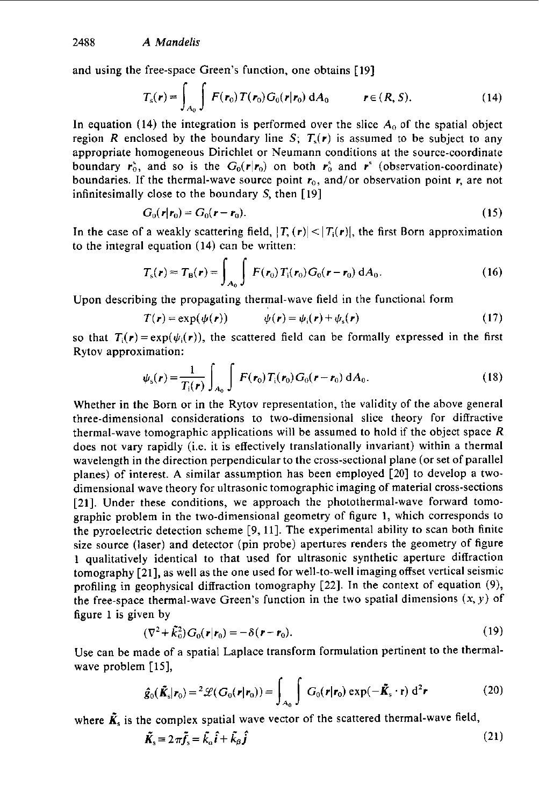and using the free-space Green's function, one obtains [19]

$$
T_s(\mathbf{r}) = \int_{A_0} \int F(\mathbf{r}_0) T(\mathbf{r}_0) G_0(\mathbf{r}|\mathbf{r}_0) \, dA_0 \qquad \mathbf{r} \in (R, S). \tag{14}
$$

In equation (14) the integration is performed over the slice  $A_0$  of the spatial object region *R* enclosed by the boundary line *S*;  $T_s(r)$  is assumed to be subject to any appropriate homogeneous Dirichlet or Neumann conditions at the source-coordinate boundary  $r_0^s$ , and so is the  $G_0(r|r_0)$  on both  $r_0^s$  and  $r^s$  (observation-coordinate) boundaries. If the thermal-wave source point  $r_0$ , and/or observation point r, are not infinitesimally close to the boundary *S,* then [19]

$$
G_0(\mathbf{r}|\mathbf{r}_0) = G_0(\mathbf{r} - \mathbf{r}_0). \tag{15}
$$

In the case of a weakly scattering field,  $|T_{\lambda}(r)| < |T_{i}(r)|$ , the first Born approximation to the integral equation (14) can be written:

$$
T_{\rm s}(\boldsymbol{r}) \approx T_{\rm B}(\boldsymbol{r}) = \int_{A_0} \int F(\boldsymbol{r}_0) T_{\rm i}(\boldsymbol{r}_0) G_0(\boldsymbol{r} - \boldsymbol{r}_0) \, \mathrm{d}A_0. \tag{16}
$$

Upon describing the propagating thermal-wave field in the functional form

$$
T(\mathbf{r}) = \exp(\psi(\mathbf{r})) \qquad \psi(\mathbf{r}) = \psi_i(\mathbf{r}) + \psi_s(\mathbf{r}) \qquad (17)
$$

so that  $T_i(r) = \exp(\psi_i(r))$ , the scattered field can be formally expressed in the first Rytov approximation:

$$
\psi_{\rm s}(r) = \frac{1}{T_{\rm i}(r)} \int_{A_0} \int F(r_0) T_{\rm i}(r_0) G_0(r - r_0) \, \mathrm{d}A_0. \tag{18}
$$

Whether in the Born or in the Rytov representation, the validity of the above general three-dimensional considerations to two-dimensional slice theory for diffractive thermal-wave tomographic applications will be assumed to hold if the object space *R*  does not vary rapidly (i.e. it is effectively translationally invariant) within a thermal wavelength in the direction perpendicular to the cross-sectional plane (or set of parallel planes) of interest. **A** similar assumption has been employed **[20]** to develop a twodimensional wave theory for ultrasonic tomographic imaging *of* material cross-sections **[21].** Under these conditions, we approach the photothermal-wave forward tomographic problem in the two-dimensional geometry of figure **1,** which corresponds to the pyroelectric detection scheme  $[9, 11]$ . The experimental ability to scan both finite size source (laser) and detector (pin probe) apertures renders the geometry of figure 1 qualitatively identical to that used for ultrasonic synthetic aperture diffraction tomography [21], as well as the one used for well-to-well imagingoffset vertical seismic profiling in geophysical diffraction tomography **[22].** In the context of equation **(9),**  the free-space thermal-wave Green's function in the two spatial dimensions  $(x, y)$  of figure 1 is given by

$$
(\nabla^2 + \tilde{k}_0^2) G_0(\mathbf{r}|\mathbf{r}_0) = -\delta(\mathbf{r} - \mathbf{r}_0). \tag{19}
$$

Use can be made of a spatial Laplace transform formulation pertinent to the thermalwave problem [15],

$$
\hat{g}_0(\tilde{\boldsymbol{K}}_s|\boldsymbol{r}_0) = {}^2\mathscr{L}(G_0(\boldsymbol{r}|\boldsymbol{r}_0)) = \int_{A_0} \int G_0(\boldsymbol{r}|\boldsymbol{r}_0) \exp(-\tilde{\boldsymbol{K}}_s \cdot \mathbf{r}) d^2 \boldsymbol{r}
$$
 (20)

where  $\tilde{\mathbf{K}}_s$  is the complex spatial wave vector of the scattered thermal-wave field,

$$
\tilde{\mathbf{K}}_{\rm s} = 2\pi \tilde{\mathbf{f}}_{\rm s} = \tilde{k}_{\rm a} \hat{\mathbf{i}} + \tilde{k}_{\rm \beta} \hat{\mathbf{j}} \tag{21}
$$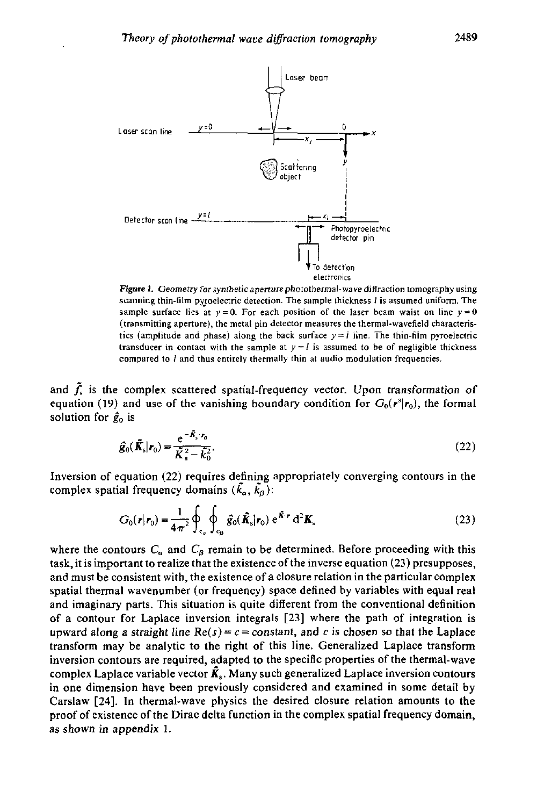

*Figure 1.* **Geometry** *for* **synthetic aperture photothermal-wave diffraction tomography using scanning thin-film pypelectric detection. The sample thickness** *I* **is assumed uniform The sample surface lies at**  $y = 0$ **. For each position of the laser beam waist on line**  $y = 0$ **(transmitting aperture), the metal pin detector measures the thermal-wavefield characteristics (amplitude and phase) along the back surface**  $y = l$  **line. The thin-film pyroelectric transducer in contact with the sample at**  $y = l$  **is assumed to be of negligible thickness compared tu** *I* **and thus entirely thermally thin at audio modulation frequencies.** 

and  $f_s$  is the complex scattered spatial-frequency vector. Upon transformation of equation (19) and use of the vanishing boundary condition for  $G_0(r^s|r_0)$ , the formal solution for  $\hat{g}_0$  is

$$
\hat{\mathbf{g}}_0(\tilde{\mathbf{K}}_s|\mathbf{r}_0) = \frac{e^{-\tilde{\mathbf{K}}_s \cdot \mathbf{r}_0}}{\tilde{\mathbf{K}}_s^2 - \tilde{\mathbf{K}}_0^2}.
$$
\n(22)

Inversion of equation (22) requires defining appropriately converging contours in the complex spatial frequency domains  $(k_{\alpha}, k_{\beta})$ :

$$
G_0(\boldsymbol{r}|\boldsymbol{r}_0) = \frac{1}{4\pi^2} \oint_{c_\alpha} \oint_{c_\beta} \hat{g}_0(\tilde{\boldsymbol{K}}_s|\boldsymbol{r}_0) e^{\tilde{\boldsymbol{K}} \cdot \boldsymbol{r}} d^2 \boldsymbol{K}_s
$$
 (23)

where the contours  $C_a$  and  $C_b$  remain to be determined. Before proceeding with this task, it is important to realize that the existence of the inverse equation (23) presupposes, and must be consistent with, the existence of a closure relation in the particular complex spatial thermal wavenumher (or frequency) space defined by variables with equal real and imaginary parts. This situation is quite different from the conventional definition of a contour for Laplace inversion integrals **[23]** where the path of integration is upward along a straight line  $Re(s) = c = constant$ , and *c* is chosen so that the Laplace transform may be analytic to the right of this line. Generalized Laplace transform inversion contours are required, adapted to the speciflc properties of the thermal-wave complex Laplace variable vector  $\tilde{K}_s$ . Many such generalized Laplace inversion contours in one dimension have been previously considered and examined in some detail by Carslaw **[24].** In thermal-wave physics the desired closure relation amounts to the proof of existence of the Dirac delta function in the complex spatial frequency domain, as shown in appendix **1.**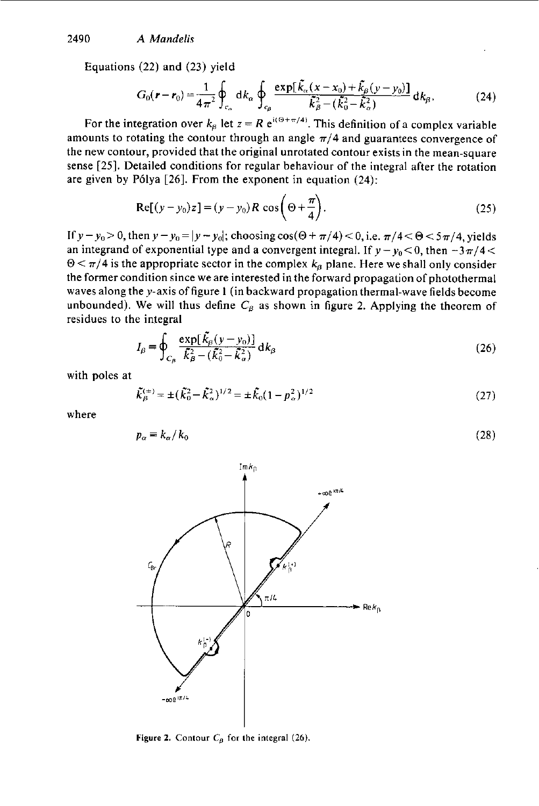Equations **(22)** and **(23)** yield

$$
G_0(\mathbf{r} - \mathbf{r}_0) = \frac{1}{4\pi^2} \oint_{c_\alpha} dk_\alpha \oint_{c_\beta} \frac{\exp[\tilde{k}_\alpha(x - x_0) + \tilde{k}_\beta(y - y_0)]}{\tilde{k}_\beta^2 - (\tilde{k}_0^2 - \tilde{k}_\alpha^2)} dk_\beta, \tag{24}
$$

For the integration over  $k_{\beta}$  let  $z = R e^{i(\Theta + \pi/4)}$ . This definition of a complex variable amounts to rotating the contour through an angle  $\pi/4$  and guarantees convergence of the new contour, provided that the original unrotated contour exists in the mean-square sense *[25].* Detailed conditions for regular behaviour of the integral after the rotation are given by P6lya *[26].* From the exponent in equation (24):

$$
Re[(y - y_0)z] = (y - y_0)R \cos\left(\Theta + \frac{\pi}{4}\right).
$$
 (25)

If  $y-y_0>0$ , then  $y-y_0=|y-y_0|$ ; choosing cos( $\Theta+\pi/4$ ) < 0, i.e.  $\pi/4<\Theta<5\pi/4$ , yields an integrand of exponential type and a convergent integral. If  $y - y_0 < 0$ , then  $-3\pi/4 <$  $\Theta \le \pi/4$  is the appropriate sector in the complex  $k_{\beta}$  plane. Here we shall only consider the former condition since we are interested in the forward propagation of photothermal waves along the y-axis of figure 1 (in backward propagation thermal-wave fields become unbounded). We will thus define  $C_\beta$  as shown in figure 2. Applying the theorem of residues to the integral

$$
I_{\beta} = \oint_{C_{\beta}} \frac{\exp[\tilde{k}_{\beta}(y - y_0)]}{\tilde{k}_{\beta}^2 - (\tilde{k}_{0}^2 - \tilde{k}_{\alpha}^2)} d k_{\beta}
$$
 (26)

with poles at

$$
\tilde{k}_{\beta}^{(\pm)} = \pm (\tilde{k}_0^2 - \tilde{k}_\alpha^2)^{1/2} = \pm \tilde{k}_0 (1 - p_\alpha^2)^{1/2}
$$
\n(27)

where

$$
p_{\alpha} \equiv k_{\alpha}/k_0 \tag{28}
$$



**Figure 2.** Contour  $C_\beta$  for the integral (26).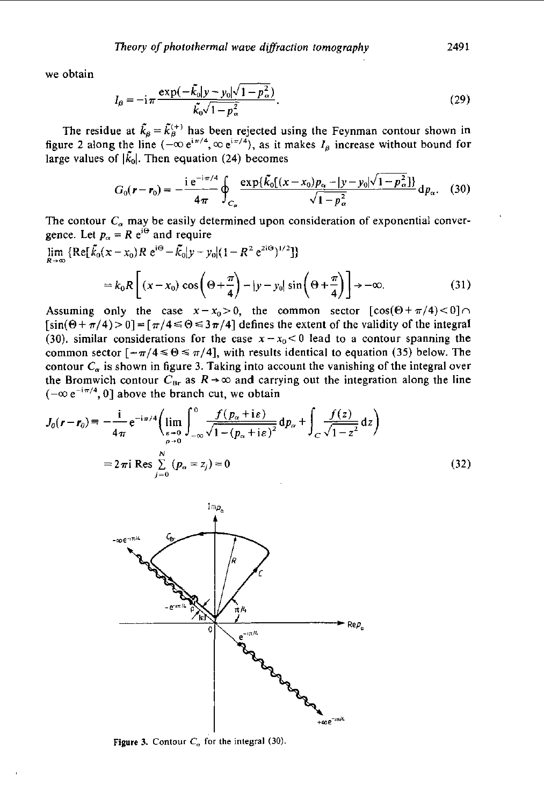we obtain

$$
I_{\beta} = -i\pi \frac{\exp(-\tilde{k}_{0}|y - y_{0}|\sqrt{1 - p_{\alpha}^{2}})}{\tilde{k}_{0}\sqrt{1 - p_{\alpha}^{2}}}.
$$
\n(29)

The residue at  $\tilde{k}_{\beta} = \tilde{k}_{\beta}^{(+)}$  has been rejected using the Feynman contour shown in figure 2 along the line  $(-\infty e^{i\pi/4}, \infty e^{i\pi/4})$ , as it makes  $I_\beta$  increase without bound for large values of  $|\tilde{k}_0|$ . Then equation (24) becomes

$$
G_0(\mathbf{r} - \mathbf{r}_0) = -\frac{i e^{-i\pi/4}}{4\pi} \oint_{C_\alpha} \frac{\exp\{\tilde{K}_0[(x - x_0)p_\alpha - |y - y_0|\sqrt{1 - p_\alpha^2}]\}}{\sqrt{1 - p_\alpha^2}} d p_\alpha. \quad (30)
$$

The contour  $C_{\alpha}$  may be easily determined upon consideration of exponential conver-

$$
\begin{aligned}\n\text{gence. Let } p_{\alpha} &= R \text{ } \text{e}^{\text{i}\Theta} \text{ and require} \\
\lim_{R \to \infty} \left\{ \text{Re} \left[ \tilde{k}_0(x - x_0) R \text{ } \text{e}^{\text{i}\Theta} - \tilde{k}_0 | y - y_0 | (1 - R^2 \text{ } \text{e}^{\text{2i}\Theta})^{1/2} \right] \right\} \\
&= k_0 R \left[ (x - x_0) \cos \left( \Theta + \frac{\pi}{4} \right) - |y - y_0| \sin \left( \Theta + \frac{\pi}{4} \right) \right] \to -\infty.\n\end{aligned} \tag{31}
$$

Assuming only the case  $x-x_0>0$ , the common sector  $[\cos(\Theta + \pi/4) < 0]$  $[\sin(\Theta + \pi/4) > 0] = [\pi/4 \le \Theta \le 3\pi/4]$  defines the extent of the validity of the integral (30). similar considerations for the case  $x-x_0 < 0$  lead to a contour spanning the common sector  $[-\pi/4 \le \Theta \le \pi/4]$ , with results identical to equation (35) below. The contour  $C_{\alpha}$  is shown in figure 3. Taking into account the vanishing of the integral over the Bromwich contour  $C_{\text{Br}}$  as  $R \rightarrow \infty$  and carrying out the integration along the line  $(-\infty e^{-i\pi/4}, 0]$  above the branch cut, we obtain

$$
J_0(r - r_0) = -\frac{1}{4\pi} e^{-i\pi/4} \left( \lim_{\substack{\epsilon \to 0 \\ \rho \to 0}} \int_{-\infty}^0 \frac{f(p_\alpha + i\epsilon)}{\sqrt{1 - (p_\alpha + i\epsilon)^2}} dp_\alpha + \int_C \frac{f(z)}{\sqrt{1 - z^2}} dz \right)
$$
  
=  $2\pi i \text{ Res } \sum_{j=0}^N (p_\alpha = z_j) = 0$  (32)



**Figure 3.** Contour  $C_{\alpha}$  for the integral (30).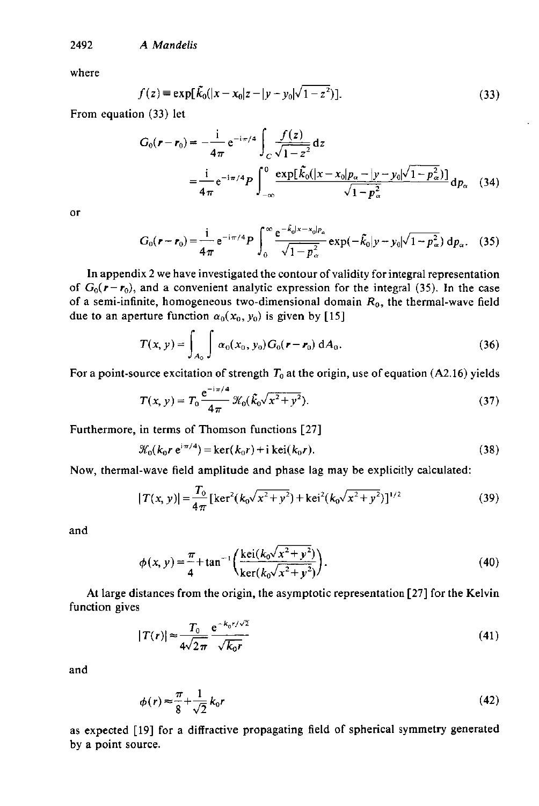2492 A *Mandelis* 

where

$$
f(z) = \exp[\tilde{k}_0(|x - x_0|z - |y - y_0|\sqrt{1 - z^2})].
$$
 (33)

From equation (33) let

$$
G_0(r - r_0) = -\frac{1}{4\pi} e^{-i\pi/4} \int_C \frac{f(z)}{\sqrt{1 - z^2}} dz
$$
  
=  $\frac{1}{4\pi} e^{-i\pi/4} P \int_{-\infty}^0 \frac{\exp[\tilde{k}_0(|x - x_0|p_\alpha - |y - y_0|\sqrt{1 - p_\alpha^2})]}{\sqrt{1 - p_\alpha^2}} dp_\alpha$  (34)

**or** 

$$
G_0(\mathbf{r} - \mathbf{r}_0) = \frac{1}{4\pi} e^{-i\pi/4} P \int_0^\infty \frac{e^{-\hat{k}_0 |x - x_0| p_\alpha}}{\sqrt{1 - p_\alpha^2}} \exp(-\hat{k}_0 |y - y_0| \sqrt{1 - p_\alpha^2}) \, \mathrm{d}p_\alpha. \quad (35)
$$

In appendix 2 we have investigated the contour of validity for integral representation of  $G_0(r-r_0)$ , and a convenient analytic expression for the integral (35). In the case of a semi-infinite, homogeneous two-dimensional domain  $R_0$ , the thermal-wave field due to an aperture function  $\alpha_0(x_0, y_0)$  is given by [15]

$$
T(x, y) = \int_{A_0} \int \alpha_0(x_0, y_0) G_0(r - r_0) dA_0.
$$
 (36)

For a point-source excitation of strength  $T_0$  at the origin, use of equation (A2.16) yields

$$
T(x, y) = T_0 \frac{e^{-i\pi/4}}{4\pi} \mathcal{K}_0(\tilde{k}_0 \sqrt{x^2 + y^2}).
$$
 (37)

Furthermore, in terms of Thomson functions [27]

$$
\mathcal{K}_0(k_0 r e^{i\pi/4}) = \ker(k_0 r) + i \ker(k_0 r).
$$
 (38)

Now, thermal-wave field amplitude and phase lag may be explicitly calculated:

$$
|T(x, y)| = \frac{T_0}{4\pi} \left[ \ker^2(k_0 \sqrt{x^2 + y^2}) + \ker^2(k_0 \sqrt{x^2 + y^2}) \right]^{1/2}
$$
 (39)

and

$$
\phi(x, y) = \frac{\pi}{4} + \tan^{-1} \left( \frac{\text{kei}(k_0 \sqrt{x^2 + y^2})}{\text{ker}(k_0 \sqrt{x^2 + y^2})} \right). \tag{40}
$$

At large distances from the origin, the asymptotic representation [27] for the Kelvin function gives

$$
|T(r)| \approx \frac{T_0}{4\sqrt{2\pi}} \frac{e^{-k_0 r/\sqrt{2}}}{\sqrt{k_0 r}}
$$
\n(41)

and

$$
\phi(r) \approx \frac{\pi}{8} + \frac{1}{\sqrt{2}} k_0 r \tag{42}
$$

as expected [19] for a diffractive propagating field of spherical symmetry generated by a point source.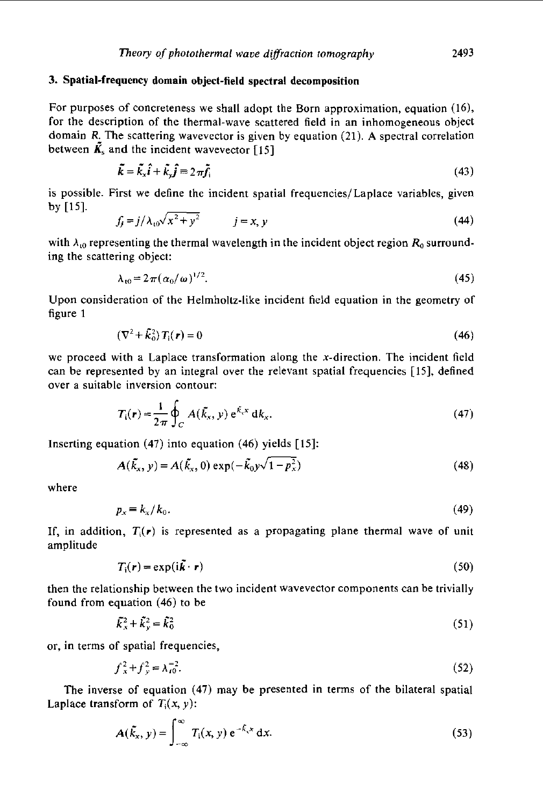## 3. Spatial-frequency domain object-field spectral decomposition

For purposes of concreteness we shall adopt the Born approximation, equation (16), for the description of the thermal-wave scattered field in an inhomogeneous object domain R. The scattering wavevector is given by equation (21). A spectral correlation between  $\tilde{\mathbf{k}}_s$  and the incident wavevector [15]

$$
\tilde{k} = \tilde{k}_x \hat{i} + \tilde{k}_y \hat{j} = 2\pi \tilde{f}_i
$$
\n(43)

is possible. First we define the incident spatial frequencies/Laplace variables, given by [15].

$$
f_j = j/\lambda_{10}\sqrt{x^2 + y^2} \qquad j = x, y \tag{44}
$$

with  $\lambda_{10}$  representing the thermal wavelength in the incident object region  $R_0$  surrounding the scattering object:

$$
\lambda_{10} = 2\pi (\alpha_0/\omega)^{1/2}.
$$
 (45)

Upon consideration of the Helmholtz-like incident field equation in the geometry of figure 1

$$
(\nabla^2 + \tilde{k}_0^2) T_i(\mathbf{r}) = 0 \tag{46}
$$

we proceed with a Laplace transformation along the x-direction. The incident field can be represented by an integral over the relevant spatial frequencies [ 151, defined over a suitable inversion contour:

$$
T_i(\mathbf{r}) = \frac{1}{2\pi} \oint_C A(\tilde{k}_x, y) e^{\tilde{k}_x x} dk_x.
$$
 (47)

Inserting equation **(47)** into equation **(46)** yields [15]:

$$
A(\tilde{k}_x, y) = A(\tilde{k}_x, 0) \exp(-\tilde{k}_0 y \sqrt{1 - p_x^2})
$$
\n(48)

where

$$
p_x \equiv k_x / k_0. \tag{49}
$$

If, in addition,  $T_i(r)$  is represented as a propagating plane thermal wave of unit amplitude

$$
T_i(\mathbf{r}) = \exp(i\mathbf{k} \cdot \mathbf{r})
$$
\n(50)

then the relationship between the two incident wavevector components can be trivially found from equation **(46)** to be

$$
\tilde{\mathbf{k}}_x^2 + \tilde{\mathbf{k}}_y^2 = \tilde{\mathbf{k}}_0^2 \tag{51}
$$

or, in terms of spatial frequencies,

$$
f_x^2 + f_y^2 = \lambda_{10}^{-2}.\tag{52}
$$

The inverse of equation **(47)** may be presented in terms of the bilateral spatial Laplace transform of  $T_1(x, y)$ :

$$
A(\tilde{k}_x, y) = \int_{-\infty}^{\infty} T_i(x, y) e^{-\tilde{k}_x x} dx.
$$
 (53)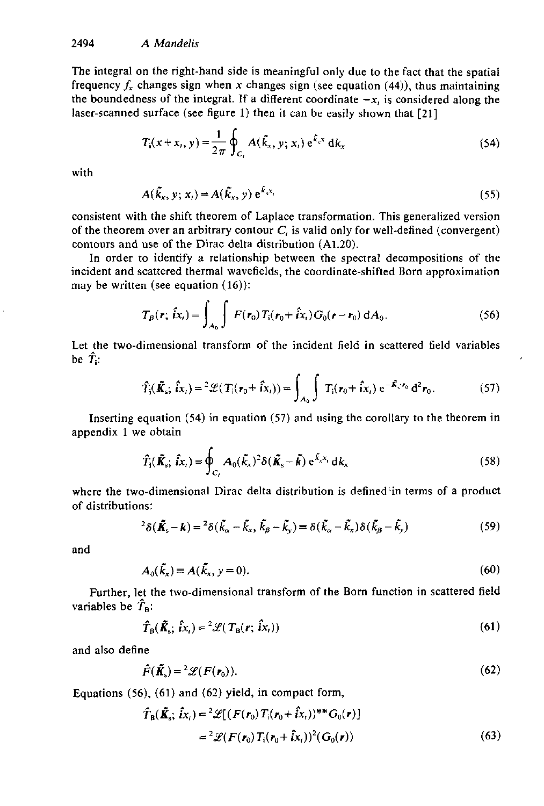The integral on the right-hand side is meaningful only due to the fact that the spatial frequency  $f_x$  changes sign when x changes sign (see equation (44)), thus maintaining the boundedness of the integral. If a different coordinate  $-x$ , is considered along the laser-scanned surface (see figure 1) then it can be easily shown that **[21]** 

$$
T_{\rm i}(x + x_{\rm i}, y) = \frac{1}{2\pi} \oint_{C_{\rm i}} A(\tilde{k}_x, y; x_{\rm i}) e^{\tilde{k}_x x} \, \mathrm{d}k_x \tag{54}
$$

with

$$
A(\tilde{k}_x, y; x_i) = A(\tilde{k}_x, y) e^{\tilde{k}_x x_i}
$$
 (55)

consistent with the shift theorem of Laplace transformation. This generalized version of the theorem over an arbitrary contour *C,* is valid only for well-defined (convergent) contours and use of the Dirac delta distribution **(A1.20).** 

In order to identify a relationship between the spectral decompositions of the incident and scattered thermal wavefields, the coordinate-shifted Born approximation may be written (see equation (16)):

$$
T_B(r; \hat{t}x_t) = \int_{A_0} \int F(r_0) T_i(r_0 + \hat{t}x_t) G_0(r - r_0) dA_0.
$$
 (56)

Let the two-dimensional transform of the incident field in scattered field variables be  $\hat{T}_i$ :

$$
\hat{T}_{\mathbf{j}}(\tilde{\mathbf{K}}_{\mathbf{s}}; \hat{\mathbf{i}}\mathbf{x}_{t}) = \,^{2}\mathscr{L}(T_{\mathbf{j}}(\mathbf{r}_{0} + \hat{\mathbf{i}}\mathbf{x}_{t})) = \int_{A_{0}} \int T_{\mathbf{i}}(\mathbf{r}_{0} + \hat{\mathbf{i}}\mathbf{x}_{t}) \,\mathrm{e}^{-\tilde{\mathbf{K}}_{\mathbf{s}} \cdot \mathbf{r}_{0}} \,\mathrm{d}^{2} \mathbf{r}_{0}.\tag{57}
$$

appendix 1 we obtain

Inserting equation (54) in equation (57) and using the corollary to the theorem in  
endix 1 we obtain  

$$
\hat{T}_{i}(\tilde{K}_{s}; \hat{i}x_{i}) = \oint_{C_{i}} A_{0}(\tilde{k}_{x})^{2} \delta(\tilde{K}_{s} - \tilde{k}) e^{\tilde{k}_{x}x_{i}} dx_{x}
$$
(58)

where the two-dimensional Dirac delta distribution is defined in terms of a product of distributions:

$$
{}^{2}\delta(\tilde{\mathbf{K}}_{s}-\mathbf{k})={}^{2}\delta(\tilde{k}_{\alpha}-\tilde{k}_{x},\tilde{k}_{\beta}-\tilde{k}_{y})=\delta(\tilde{k}_{\alpha}-\tilde{k}_{x})\delta(\tilde{k}_{\beta}-\tilde{k}_{y})
$$
\n(59)

and

$$
A_0(\tilde{k}_x) = A(\tilde{k}_x, y = 0). \tag{60}
$$

Further, let the two-dimensional transform of the Born function in scattered field variables be  $\hat{T}_{\rm B}$ :

$$
\hat{T}_{\rm B}(\tilde{\boldsymbol{K}}_{\rm s};\,\hat{i}x_{\rm t}) = {}^2\mathscr{L}(T_{\rm B}(r;\,\hat{i}x_{\rm t})) \tag{61}
$$

and also define

$$
\hat{F}(\tilde{\mathbf{K}}_{s}) = \,2\mathcal{L}(F(\mathbf{r}_{0})).\tag{62}
$$

Equations **(56), (61)** and **(62)** yield, in compact form,

$$
\hat{T}_{\text{B}}(\tilde{K}_{\text{s}}; \hat{i}x_{\text{r}}) = {}^{2}\mathscr{L}[(F(r_{0})T_{\text{i}}(r_{0} + \hat{i}x_{\text{r}}))^{**}G_{\text{o}}(r)]
$$
\n
$$
= {}^{2}\mathscr{L}(F(r_{0})T_{\text{i}}(r_{0} + \hat{i}x_{\text{r}}))^{2}(G_{\text{o}}(r)) \tag{63}
$$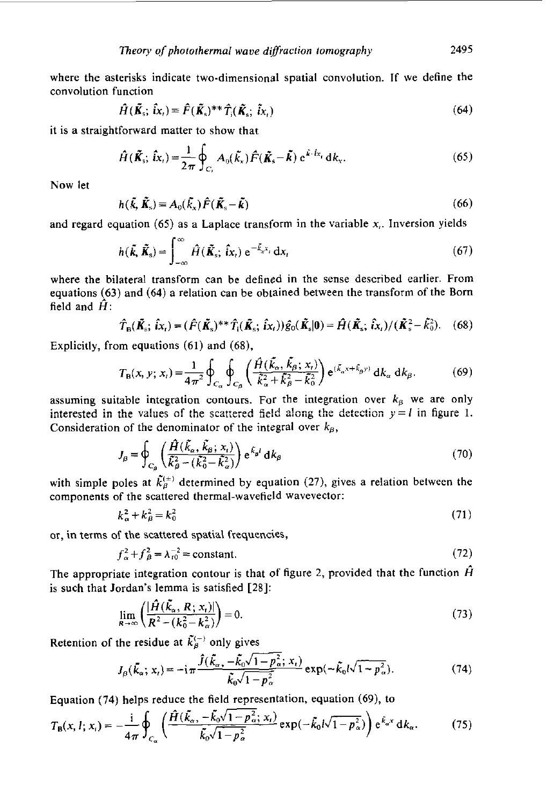where the asterisks indicate two-dimensional spatial convolution. If we define the convolution function

$$
\hat{H}(\tilde{\mathbf{K}}_{\rm s};\,\hat{i}\mathbf{x}_{\rm t}) \equiv \hat{F}(\tilde{\mathbf{K}}_{\rm s})^{**}\hat{T}_{\rm i}(\tilde{\mathbf{K}}_{\rm s};\,\tilde{i}\mathbf{x}_{\rm t})\tag{64}
$$

it is a straightforward matter to show that

$$
\hat{H}(\tilde{\mathbf{K}}_{\rm s};\,\hat{i}\mathbf{x}_{\rm t}) = \frac{1}{2\pi}\oint_{C_{\rm r}}A_{0}(\tilde{k}_{\rm x})\hat{F}(\tilde{\mathbf{K}}_{\rm s}-\tilde{\mathbf{k}})\,\,\mathrm{e}^{\tilde{k}\cdot\hat{i}\mathbf{x}_{\rm t}}\,\mathrm{d}k_{\rm x}.\tag{65}
$$

Now let

$$
h(\tilde{\mathbf{k}}, \tilde{\mathbf{K}}_{\mathrm{s}}) \equiv A_0(\tilde{k}_x) \hat{F}(\tilde{\mathbf{K}}_{\mathrm{s}} - \tilde{\mathbf{k}})
$$
 (66)

and regard equation **(65)** as a Laplace transform in the variable **x,.** Inversion yields

$$
h(\tilde{\mathbf{k}}, \tilde{\mathbf{K}}_{\mathrm{s}}) = \int_{-\infty}^{\infty} \hat{H}(\tilde{\mathbf{k}}_{\mathrm{s}}; \hat{\mathbf{i}}x_{\mathrm{t}}) e^{-\tilde{k}_{\mathrm{x}}x_{\mathrm{t}}} dx_{\mathrm{t}}
$$
(67)

where the bilateral transform can be defined in the sense described earlier. From equations **(63)** and **(64)** a relation can be obtained between the transform of the Born field and  $\hat{H}$ :

$$
\hat{T}_{\mathbf{B}}(\tilde{\mathbf{K}}_{\mathbf{s}}; \hat{i}x_{t}) = (\hat{F}(\tilde{\mathbf{K}}_{\mathbf{s}})^{**}\hat{T}_{\mathbf{i}}(\tilde{\mathbf{K}}_{\mathbf{s}}; \hat{i}x_{t}))\hat{g}_{0}(\tilde{\mathbf{K}}_{\mathbf{s}}|\mathbf{0}) = \hat{H}(\tilde{\mathbf{K}}_{\mathbf{s}}; \hat{i}x_{t})/(\tilde{\mathbf{K}}_{\mathbf{s}}^{2} - \tilde{k}_{0}^{2}).
$$
 (68)

Explicitly, from equations **(61)** and **(68),** 

$$
T_{\rm B}(x, y; x_{\iota}) = \frac{1}{4\pi^2} \oint_{C_{\alpha}} \oint_{C_{\beta}} \left( \frac{\hat{H}(\tilde{k}_{\alpha}, \tilde{k}_{\beta}; x_{\iota})}{\hat{k}_{\alpha}^2 + \hat{k}_{\beta}^2 - \hat{k}_{0}^2} \right) e^{(\tilde{k}_{\alpha}x + \tilde{k}_{\beta}y)} d k_{\alpha} d k_{\beta}.
$$
 (69)

assuming suitable integration contours. For the integration over  $k<sub>g</sub>$  we are only interested in the values of the scattered field along the detection  $y = l$  in figure 1. Consideration of the denominator of the integral over  $k_{\beta}$ ,

$$
J_{\beta} = \oint_{C_{\beta}} \left( \frac{\hat{H}(\tilde{k}_{\alpha}, \tilde{k}_{\beta}; x_{\iota})}{\tilde{k}_{\beta}^{2} - (\tilde{k}_{0}^{2} - \tilde{k}_{\alpha}^{2})} \right) e^{\tilde{k}_{\beta}t} d k_{\beta}
$$
(70)

with simple poles at  $\tilde{k}_{\beta}^{(\pm)}$  determined by equation (27), gives a relation between the components of the scattered thermal-wavefield wavevector:

$$
k_{\alpha}^{2} + k_{\beta}^{2} = k_{0}^{2} \tag{71}
$$

or, in terms of the scattered spatial frequencies,

$$
f_{\alpha}^{2} + f_{\beta}^{2} = \lambda_{10}^{-2} = \text{constant.}
$$
 (72)

The appropriate integration contour is that of figure 2, provided that the function  $\hat{H}$ is such that Jordan's lemma is satisfied **[28]:** 

$$
\lim_{R \to \infty} \left( \frac{|\hat{H}(\tilde{k}_{\alpha}, R; x_t)|}{R^2 - (k_0^2 - k_{\alpha}^2)} \right) = 0.
$$
\n(73)

Retention of the residue at  $\tilde{k}_{\beta}^{(-)}$  only gives

$$
J_{\beta}(\tilde{k}_{\alpha}; x_{\iota}) = -\mathrm{i}\pi \frac{\hat{J}(\tilde{k}_{\alpha}, -\tilde{k}_{0}\sqrt{1-p_{\alpha}^{2}}; x_{\iota})}{\tilde{k}_{0}\sqrt{1-p_{\alpha}^{2}}} \exp(-\tilde{k}_{0}l\sqrt{1-p_{\alpha}^{2}}). \tag{74}
$$

Equation **(74)** helps reduce the field representation, equation **(69),** to

$$
T_{\rm B}(x, l; x_{\rm t}) = -\frac{\mathrm{i}}{4\pi} \oint_{C_{\alpha}} \left( \frac{\hat{H}(\tilde{k}_{\alpha}, -\tilde{k}_{0}\sqrt{1-p_{\alpha}^{2}}; x_{\rm t})}{\tilde{k}_{0}\sqrt{1-p_{\alpha}^{2}}} \exp(-\tilde{k}_{0}l\sqrt{1-p_{\alpha}^{2}}) \right) e^{\tilde{k}_{\alpha}x} \,\mathrm{d}k_{\alpha}.\tag{75}
$$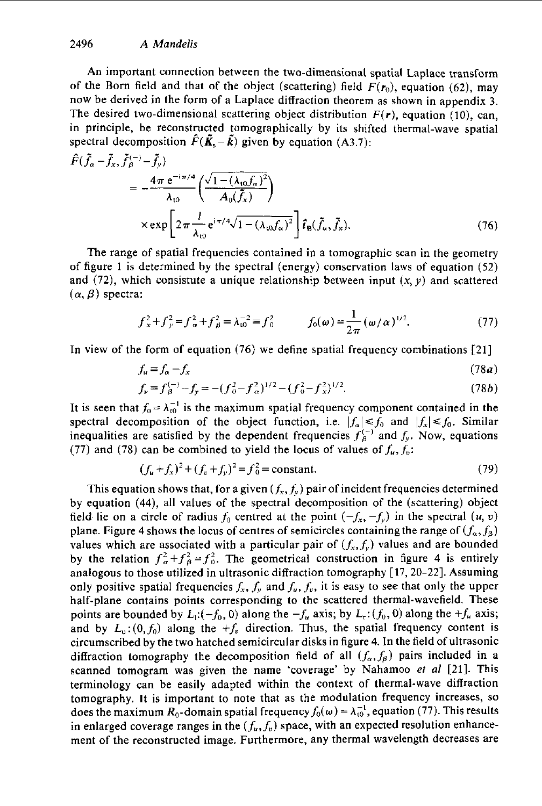An important connection between the two-dimensional spatial Laplace transform of the Born field and that of the object (scattering) field  $F(r_0)$ , equation (62), may now be derived in the form of a Laplace diffraction theorem as shown in appendix 3. The desired two-dimensional scattering object distribution  $F(r)$ , equation (10), can, in principle, be reconstructed tomographically by its shifted thermal-wave spatial spectral decomposition  $\hat{F}(\tilde{\mathbf{K}}_s - \tilde{\mathbf{k}})$  given by equation (A3.7):

$$
\hat{F}(\tilde{f}_{\alpha} - \tilde{f}_{x}, \tilde{f}_{\beta}^{(-)} - \tilde{f}_{y})
$$
\n
$$
= -\frac{4\pi e^{-i\pi/4}}{\lambda_{t0}} \left( \frac{\sqrt{1 - (\lambda_{t0}f_{\alpha})^{2}}}{A_{0}(\tilde{f}_{x})} \right)
$$
\n
$$
\times \exp \left[ 2\pi \frac{l}{\lambda_{t0}} e^{i\pi/4} \sqrt{1 - (\lambda_{t0}f_{\alpha})^{2}} \right] \hat{t}_{B}(\tilde{f}_{\alpha}, \tilde{f}_{x}).
$$
\n(76)

The range of spatial frequencies contained in a tomographic scan in the geometry of figure **1** is determined by the spectral (energy) conservation laws of equation **(52)**  and (72), which consistute a unique relationship between input  $(x, y)$  and scattered  $(\alpha, \beta)$  spectra:

$$
f_x^2 + f_y^2 = f_\alpha^2 + f_\beta^2 = \lambda_{10}^{-2} = f_0^2 \qquad f_0(\omega) = \frac{1}{2\pi} (\omega/\alpha)^{1/2}.
$$
 (77)

In view of the form of equation **(76)** we define spatial frequency combinations **[21]** 

$$
f_u \equiv f_\alpha - f_x \tag{78a}
$$

$$
f_{\nu} = f_{\beta}^{(-)} - f_{\gamma} = -(f_0^2 - f_{\alpha}^2)^{1/2} - (f_0^2 - f_{\chi}^2)^{1/2}.
$$
 (78b)

It is seen that  $f_0 = \lambda_0^{-1}$  is the maximum spatial frequency component contained in the spectral decomposition of the object function, i.e.  $|f_{\alpha}| \leq f_0$  and  $|f_x| \leq f_0$ . Similar inequalities are satisfied by the dependent frequencies  $f_{\beta}^{(-)}$  and  $f_{y}$ . Now, equations (77) and (78) can be combined to yield the locus of values of  $f_u, f_v$ :

$$
(f_u + f_x)^2 + (f_v + f_y)^2 = f_0^2 = \text{constant.}
$$
 (79)

This equation shows that, for a given  $(f_x, f_y)$  pair of incident frequencies determined by equation **(44),** all values of the spectral decomposition of the (scattering) object field lie on a circle of radius  $f_0$  centred at the point  $(-f_x, -f_y)$  in the spectral  $(u, v)$ plane. Figure 4 shows the locus of centres of semicircles containing the range of  $(f_{\alpha}, f_{\beta})$ values which are associated with a particular pair of  $(f_x, f_y)$  values and are bounded by the relation  $f_{\alpha}^2 + f_{\beta}^2 = f_0^2$ . The geometrical construction in figure 4 is entirely analogous to those utilized in ultrasonic diffraction tomography **[17,20-22].** Assuming only positive spatial frequencies  $f_x$ ,  $f_y$  and  $f_u$ ,  $f_y$ , it is easy to see that only the upper half-plane contains points corresponding to the scattered thermal-wavefield. These points are bounded by  $L_1: (-f_0, 0)$  along the  $-f_u$  axis; by  $L_r: (f_0, 0)$  along the  $+f_u$  axis; and by  $L_{u}:(0, f_{0})$  along the  $+f_{v}$  direction. Thus, the spatial frequency content is circumscribed by the two hatched semicircular disks in figure **4.** In the field of ultrasonic diffraction tomography the decomposition field of all  $(f_{\alpha}, f_{\beta})$  pairs included in a scanned tomogram was given the name 'coverage' by Nahamoo *et al* **[21].** This terminology can be easily adapted within the context of thermal-wave diffraction tomography. It is important to note that as the modulation frequency increases, so does the maximum  $R_0$ -domain spatial frequency  $f_0(\omega) = \lambda_{10}^{-1}$ , equation (77). This results in enlarged coverage ranges in the  $(f_u, f_v)$  space, with an expected resolution enhancement of the reconstructed image, Furthermore, any thermal wavelength decreases are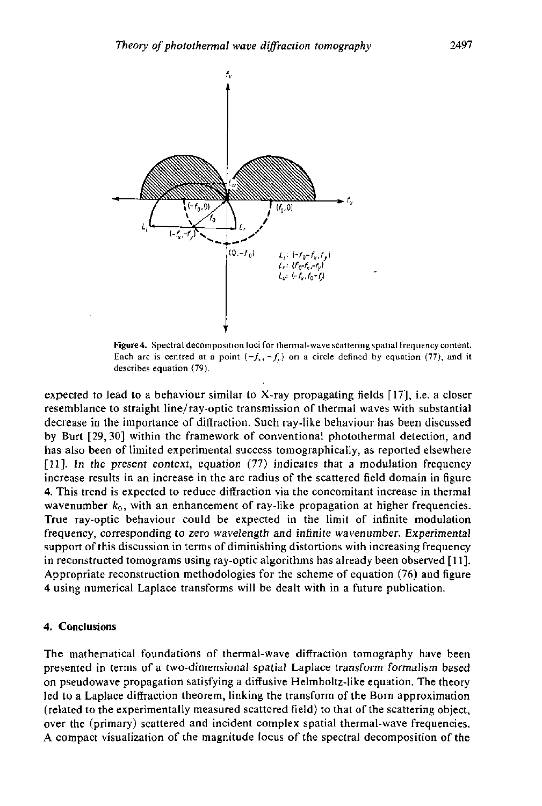

Figure 4. Spectral decomposition loci for thermal-wave scattering spatial frequency content. Each arc is centred at a point  $(-f_x, -f_y)$  on a circle defined by equation (77), and it describes equation (79).

expected to lead to a behaviour similar to X-ray propagating fields **[17],** i.e. a closer resemblance to straight line/ray-optic transmission of thermal waves with substantial decrease in the importance of diffraction. Such ray-like behaviour has been discussed **Interface 11 C** *Let us to the importance of diffraction. Such ray-like behaviour has been discussed* by Burt **[29,30]** within the framework of conventional photothermal detection, and has also been of limited experimental success tomographically, as reported elsewhere [Ill. In the present context, equation **(77)** indicates that **a** modulation frequency increase results in an increase in the arc radius of the scattered field domain in figure **4.** This trend is expected to reduce diffraction via the concomitant increase in thermal wavenumber  $k_0$ , with an enhancement of ray-like propagation at higher frequencies. True ray-optic behaviour could be expected in the limit of infinite modulation frequency, corresponding to zero wavelength and infinite wavenumber. Experimental support of this discussion in terms of diminishing distortions with increasing frequency in reconstructed tomograms using ray-optic algorithms has already been observed [ 111. Appropriate reconstruction methodologies for the scheme of equation *(76)* and figure **<sup>A</sup>**using numerical **Lap!ace** transforms will he **de&** with in a future **puh!ication:** 

#### **4. Conclusions**

The mathematical foundations of thermal-wave diffraction tomography have been presented in terms of a two-dimensional spatial Laplace transform formalism based on pseudowave propagation satisfying a diffusive Helmholtz-like equation. The theory led to a Laplace diffraction theorem, linking the transform of the **Born** approximation (related to the experimentally measured scattered field) to that of the scattering object, over the (primary) scattered and incident complex spatial thermal-wave frequencies. A compact visualization of the magnitude locus of the spectral decomposition of the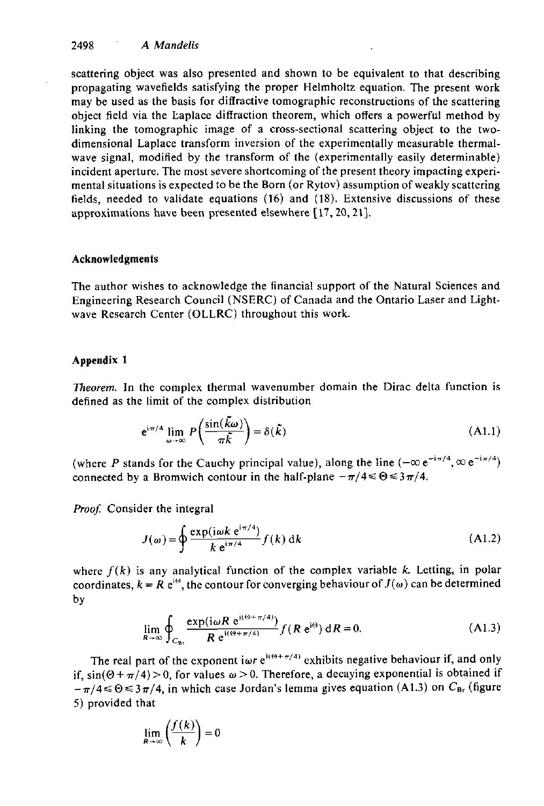**2498** *A Mandelis* 

scattering object was also presented and shown to be equivalent to that describing propagating wavefields satisfying the proper Helmholtz equation. The present work may be used as the basis for diffractive tomographic reconstructions of the scattering object field via the Laplace diffraction theorem, which offers a powerful method by linking the tomographic image of a cross-sectional scattering object to the twodimensional Laplace transform inversion of the experimentally measurable thermalwave signal, modified by the transform of the (experimentally easily determinable) incident aperture. The most severe shortcoming of the present theory impacting experimental situations is expected to be the Born (or Rytov) assumption of weakly scattering fields, needed to validate equations **(16)** and **(18).** Extensive discussions of these approximations have been presented elsewhere **[17,20,21].** 

#### **Acknowledgments**

The author wishes to acknowledge the financial support of the Natural Sciences and Engineering Research Council (NSERC) of Canada and the Ontario Laser and Lightwave Research Center (OLLRC) throughout this work.

#### **Appendix 1**

*Theorem.* In the complex thermal wavenumber domain the Dirac delta function is defined as the limit of the complex distribution

$$
e^{i\pi/4} \lim_{\omega \to \infty} P\left(\frac{\sin(\tilde{k}\omega)}{\pi \tilde{k}}\right) = \delta(\tilde{k})
$$
 (A1.1)

(where *P* stands for the Cauchy principal value), along the line  $(-\infty e^{-i\pi/4}, \infty e^{-i\pi/4})$ connected by a Bromwich contour in the half-plane  $-\pi/4 \le \Theta \le 3\pi/4$ .

*Proof.* Consider the integral

$$
J(\omega) = \oint \frac{\exp(i\omega k \ e^{i\pi/4})}{k \ e^{i\pi/4}} f(k) \ \mathrm{d}k \tag{A1.2}
$$

where  $f(k)$  is any analytical function of the complex variable k. Letting, in polar coordinates,  $k = R e^{i\theta}$ , the contour for converging behaviour of  $J(\omega)$  can be determined by

$$
\lim_{R \to \infty} \oint_{C_{\text{Br}}} \frac{\exp(i\omega R \ e^{i(\Theta + \pi/4)})}{R \ e^{i(\Theta + \pi/4)}} f(R \ e^{i\Theta}) \ dR = 0. \tag{A1.3}
$$

The real part of the exponent iwr  $e^{i(\Theta + \pi/4)}$  exhibits negative behaviour if, and only if,  $sin(\Theta + \pi/4) > 0$ , for values  $\omega > 0$ . Therefore, a decaying exponential is obtained if  $-\pi/4 \le \Theta \le 3\pi/4$ , in which case Jordan's lemma gives equation (A1.3) on  $C_{\text{Br}}$  (figure *5)* provided that

$$
\lim_{R\to\infty}\left(\frac{f(k)}{k}\right)=0
$$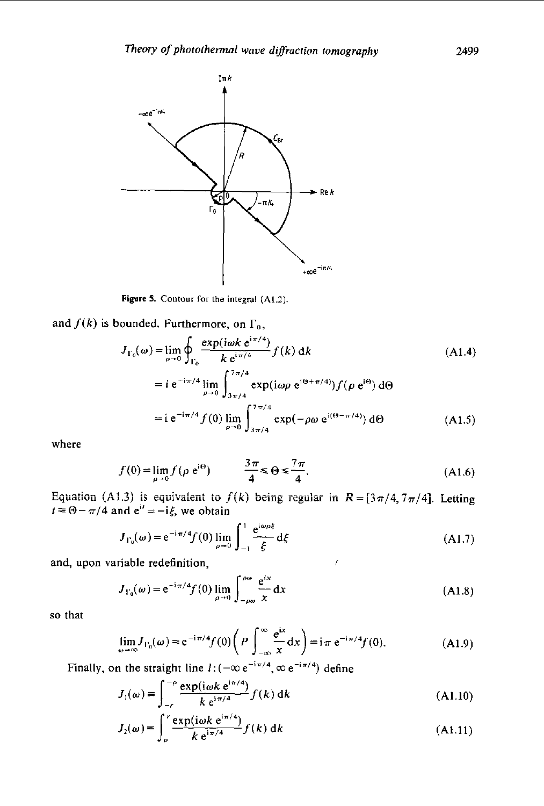

**Figure 5. Contour for the integral (A1.2)** 

and  $f(k)$  is bounded. Furthermore, on  $\Gamma_0$ ,

$$
J_{\Gamma_0}(\omega) = \lim_{\rho \to 0} \oint_{\Gamma_0} \frac{\exp(i\omega k \ e^{i\pi/4})}{k \ e^{i\pi/4}} f(k) \ dk \qquad (A1.4)
$$
  

$$
= i e^{-i\pi/4} \lim_{\rho \to 0} \int_{3\pi/4}^{7\pi/4} \exp(i\omega \rho e^{i\Theta + \pi/4)}) f(\rho e^{i\Theta}) d\Theta
$$
  

$$
= i e^{-i\pi/4} f(0) \lim_{\rho \to 0} \int_{3\pi/4}^{7\pi/4} \exp(-\rho \omega e^{i(\Theta - \pi/4)}) d\Theta \qquad (A1.5)
$$

where

$$
f(0) = \lim_{\rho \to 0} f(\rho e^{i\Theta}) \qquad \qquad \frac{3\pi}{4} \leq \Theta \leq \frac{7\pi}{4}.
$$
 (A1.6)

Equation (A1.3) is equivalent to  $f(k)$  being regular in  $R = [3\pi/4, 7\pi/4]$ . Letting  $t = \Theta - \pi/4$  and  $e^{it} = -i\xi$ , we obtain

$$
J_{\Gamma_0}(\omega) = e^{-i\pi/4} f(0) \lim_{\rho \to 0} \int_{-1}^{1} \frac{e^{i\omega \rho \xi}}{\xi} d\xi
$$
 (A1.7)

and, upon variable redefinition, *f* 

$$
J_{\Gamma_0}(\omega) = e^{-i\pi/4} f(0) \lim_{\rho \to 0} \int_{-\rho \omega}^{\rho \omega} \frac{e^{ix}}{x} dx
$$
 (A1.8)

**so** that

$$
\lim_{\omega \to \infty} J_{\Gamma_0}(\omega) = e^{-i\pi/4} f(0) \left( P \int_{-\infty}^{\infty} \frac{e^{ix}}{x} dx \right) = i\pi e^{-i\pi/4} f(0). \tag{A1.9}
$$

Finally, on the straight line  $l: (-\infty e^{-i\pi/4}, \infty e^{-i\pi/4})$  define

$$
J_1(\omega) \equiv \int_{-r}^{-\rho} \frac{\exp(i\omega k \mathrm{e}^{\mathrm{i}\pi/4})}{k \mathrm{e}^{\mathrm{i}\pi/4}} f(k) \mathrm{d}k \tag{A1.10}
$$

$$
J_2(\omega) = \int_{\rho}^{\tau} \frac{\exp(i\omega k \ e^{i\pi/4})}{k \ e^{i\pi/4}} f(k) \ d k \tag{A1.11}
$$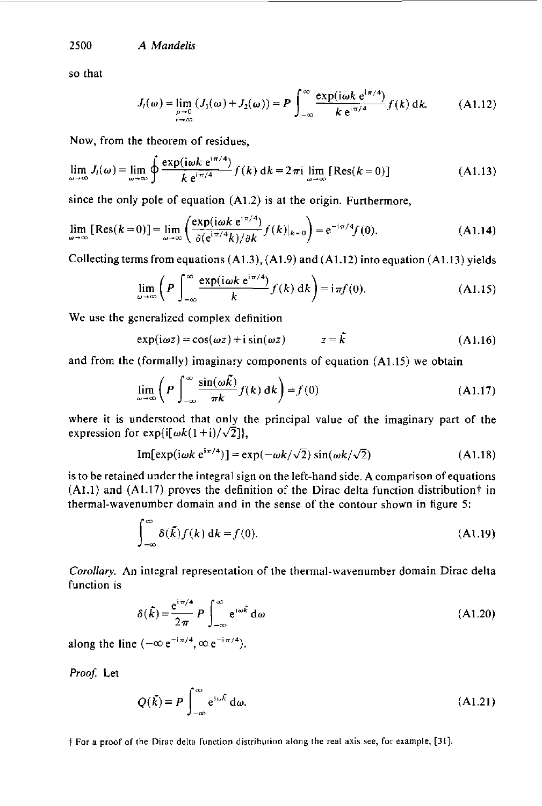**2500** A *Mandelis* 

**so** that

$$
J_l(\omega) = \lim_{\substack{\rho \to 0 \\ r \to \infty}} (J_1(\omega) + J_2(\omega)) = P \int_{-\infty}^{\infty} \frac{\exp(i\omega k \ e^{i\pi/4})}{k \ e^{i\pi/4}} f(k) \, dk. \tag{A1.12}
$$

Now, from the theorem of residues,

$$
\lim_{\omega \to \infty} J_l(\omega) = \lim_{\omega \to \infty} \oint \frac{\exp(i\omega k \ e^{i\pi/4})}{k \ e^{i\pi/4}} f(k) \ d k = 2\pi i \lim_{\omega \to \infty} \left[ \text{Res}(k=0) \right]
$$
 (A1.13)

since the only pole of equation **(A1.2)** is at the origin. Furthermore,

$$
\lim_{\omega \to \infty} [\text{Res}(k=0)] = \lim_{\omega \to \infty} \left( \frac{\exp(i\omega k \ e^{i\pi/4})}{\partial (e^{i\pi/4}k)/\partial k} f(k)|_{k=0} \right) = e^{-i\pi/4} f(0). \tag{A1.14}
$$

Collectingterms from equations **(A1.3), (A1.9)** and **(A1.12)** into equation **(A1.13)** yields

$$
\lim_{\omega \to \infty} \left( P \int_{-\infty}^{\infty} \frac{\exp(i\omega k \ e^{i\pi/4})}{k} f(k) \, dk \right) = i\pi f(0). \tag{A1.15}
$$

We use the generalized complex definition

$$
\exp(i\omega z) = \cos(\omega z) + i \sin(\omega z) \qquad z = \tilde{k} \qquad (A1.16)
$$

and from the (formally) imaginary components of equation **(A1.15)** we obtain

$$
\lim_{\omega \to \infty} \left( P \int_{-\infty}^{\infty} \frac{\sin(\omega \tilde{k})}{\pi k} f(k) \, \mathrm{d}k \right) = f(0) \tag{A1.17}
$$

where it is understood that only the principal value of the imaginary part of the expression for exp{i[ $\omega k(1+i)/\sqrt{2}$ ]).

Im[exp(i
$$
\omega k e^{i\pi/4}
$$
)] = exp( $-\omega k/\sqrt{2}$ ) sin( $\omega k/\sqrt{2}$ ) (A1.18)

is to be retained under the integral sign on the left-hand side. **A** comparison of equations **(Al.1)** and **(A1.17)** proves the definition of the Dirac delta function distrihutiont in thermal-wavenumber domain and in the sense of the contour shown in figure *5:* 

$$
\int_{-\infty}^{\infty} \delta(\tilde{k}) f(k) \, \mathrm{d}k = f(0). \tag{A1.19}
$$

*Corollary.* **An** integral representation *of* the thermal-wavenumher domain Dirac delta function is

$$
\delta(\tilde{k}) = \frac{e^{i\pi/4}}{2\pi} P \int_{-\infty}^{\infty} e^{i\omega \tilde{k}} d\omega
$$
 (A1.20)

along the line  $(-\infty e^{-i\pi/4}, \infty e^{-i\pi/4})$ .

 $\mathcal{L}^{\text{max}}$ 

Proof: Let

$$
Q(\tilde{k}) = P \int_{-\infty}^{\infty} e^{i\omega \tilde{k}} d\omega.
$$
 (A1.21)

 $\dagger$  For a proof of the Dirac delta function distribution along the real axis see, for example, [31].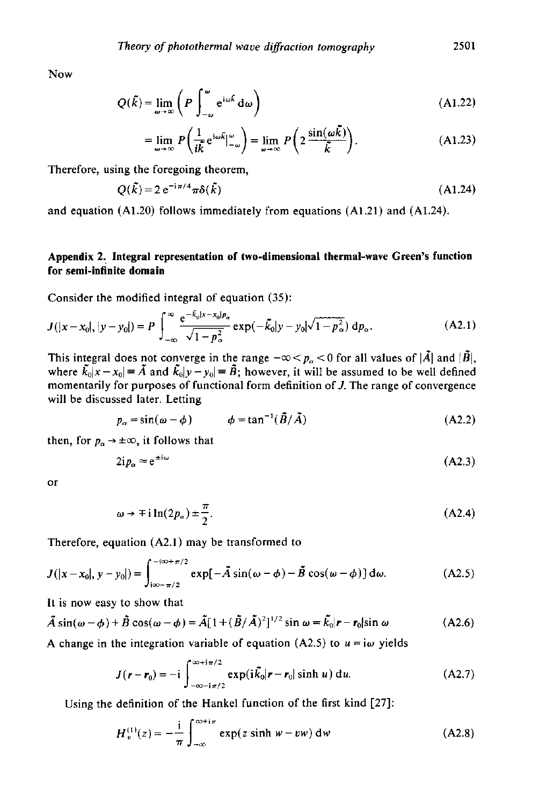Now

$$
Q(\tilde{k}) = \lim_{\omega \to \infty} \left( P \int_{-\omega}^{\omega} e^{i\omega \tilde{k}} d\omega \right)
$$
 (A1.22)

$$
= \lim_{\omega \to \infty} P\left(\frac{1}{i\tilde{k}} e^{i\omega \tilde{k}} \Big|_{-\omega}^{\omega}\right) = \lim_{\omega \to \infty} P\left(2 \frac{\sin(\omega \tilde{k})}{\tilde{k}}\right). \tag{A1.23}
$$

Therefore, using the foregoing theorem,

$$
Q(\tilde{k}) = 2 e^{-i\pi/4} \pi \delta(\tilde{k})
$$
 (A1.24)

and equation **(A1.20)** follows immediately from equations **(A1.21)** and **(A1.24).** 

## **Appendix 2. Integral representation of two-dimensional thermal-wave Green's function for semi-infinite domain**

Consider the modified integral of equation **(35):** 

$$
J(|x-x_0|, |y-y_0|) = P \int_{-\infty}^{\infty} \frac{e^{-\tilde{k}_0|x-x_0|p_{\alpha}}}{\sqrt{1-p_{\alpha}^2}} \exp(-\tilde{k}_0|y-y_0|\sqrt{1-p_{\alpha}^2}) dp_{\alpha}.
$$
 (A2.1)

This integral does not converge in the range  $-\infty < p_\alpha < 0$  for all values of  $|\tilde{A}|$  and  $|\tilde{B}|$ , where  $\tilde{k}_0|x-x_0| = \tilde{A}$  and  $\tilde{k}_0|y-y_0| = \tilde{B}$ ; however, it will be assumed to be well defined momentarily for purposes of functional form definition of *J.* The range of convergence will be discussed later. Letting

$$
p_{\alpha} = \sin(\omega - \phi) \qquad \phi = \tan^{-1}(\tilde{B}/\tilde{A}) \tag{A2.2}
$$

then, for  $p_{\alpha} \rightarrow \pm \infty$ , it follows that

$$
2ip_{\alpha} \approx e^{\pm i\omega} \tag{A2.3}
$$

or

$$
\omega \to \mp i \ln(2p_{\alpha}) \pm \frac{\pi}{2}.
$$
 (A2.4)

Therefore, equation **(A2.1)** may be transformed to

$$
J(|x-x_0|, y-y_0|) = \int_{i\infty-\pi/2}^{-i\infty+\pi/2} \exp[-\tilde{A}\sin(\omega-\phi)-\tilde{B}\cos(\omega-\phi)] d\omega.
$$
 (A2.5)

It is now easy to show that

$$
\tilde{A}\sin(\omega-\phi)+\tilde{B}\cos(\omega-\phi)=\tilde{A}[1+(\tilde{B}/\tilde{A})^2]^{1/2}\sin\omega=\tilde{k}_0|r-r_0|\sin\omega
$$
 (A2.6)

A change in the integration variable of equation  $(A2.5)$  to  $u = i\omega$  yields

$$
J(r - r_0) = -i \int_{-\infty - i\pi/2}^{\infty + i\pi/2} \exp(i\tilde{k}_0 |r - r_0| \sinh u) \, \mathrm{d}u. \tag{A2.7}
$$

Using the definition of the Hankel function of the first kind **[27]:** 

$$
H_v^{(1)}(z) = -\frac{1}{\pi} \int_{-\infty}^{\infty+i\pi} \exp(z \sinh w - vw) dw
$$
 (A2.8)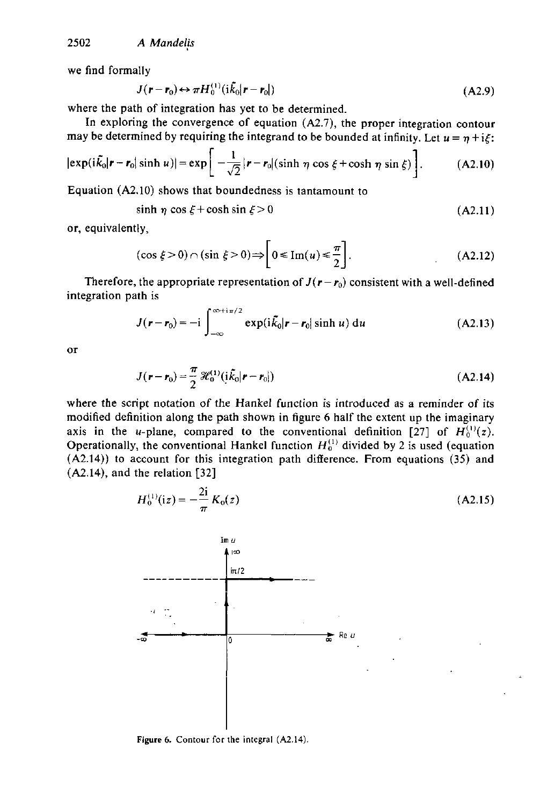we find formally

$$
J(\mathbf{r} - \mathbf{r}_0) \leftrightarrow \pi H_0^{(1)}(i\tilde{k}_0|\mathbf{r} - \mathbf{r}_0|)
$$
 (A2.9)

where the path of integration has yet to be determined.

In exploring the convergence of equation **(A2.7),** the proper integration contour may be determined by requiring the integrand to be bounded at infinity. Let  $u = \eta + i\xi$ :

$$
|\exp(i\tilde{k}_0|\mathbf{r}-\mathbf{r}_0|\sinh u)| = \exp\bigg[-\frac{1}{\sqrt{2}}|\mathbf{r}-\mathbf{r}_0|(\sinh\eta\cos\xi+\cosh\eta\sin\xi)\bigg].
$$
 (A2.10)

Equation **(A2.10)** shows that boundedness is tantamount to

$$
\sinh \eta \cos \xi + \cosh \sin \xi > 0 \tag{A2.11}
$$

or, equivalently,

$$
(\cos \xi > 0) \cap (\sin \xi > 0) \Rightarrow \left[0 \leq \text{Im}(u) \leq \frac{\pi}{2}\right].
$$
 (A2.12)

Therefore, the appropriate representation of  $J(r - r_0)$  consistent with a well-defined integration path is

$$
J(\mathbf{r} - \mathbf{r}_0) = -i \int_{-\infty}^{\infty + i\pi/2} \exp(i\tilde{k}_0|\mathbf{r} - \mathbf{r}_0| \sinh u) du
$$
 (A2.13)

*01* 

$$
J(\mathbf{r} - \mathbf{r}_0) = \frac{\pi}{2} \mathcal{H}_0^{(1)} (i\tilde{k}_0 | \mathbf{r} - \mathbf{r}_0])
$$
 (A2.14)

where the script notation of the Hankel function is introduced as a reminder of its modified definition along the path shown in figure 6 half the extent up the imaginary axis in the *u*-plane, compared to the conventional definition [27] of  $H_0^{(1)}(z)$ . Operationally, the conventional Hankel function  $H_0^{(1)}$  divided by 2 is used (equation **(A2.14))** to account for this integration path difference. From equations (35) and **(A2.141,** and the relation **[32]** 



$$
H_0^{(1)}(iz) = -\frac{2i}{\pi} K_0(z)
$$
 (A2.15)

**Figure** *6.* **Contour** for **the integral (A2.14)**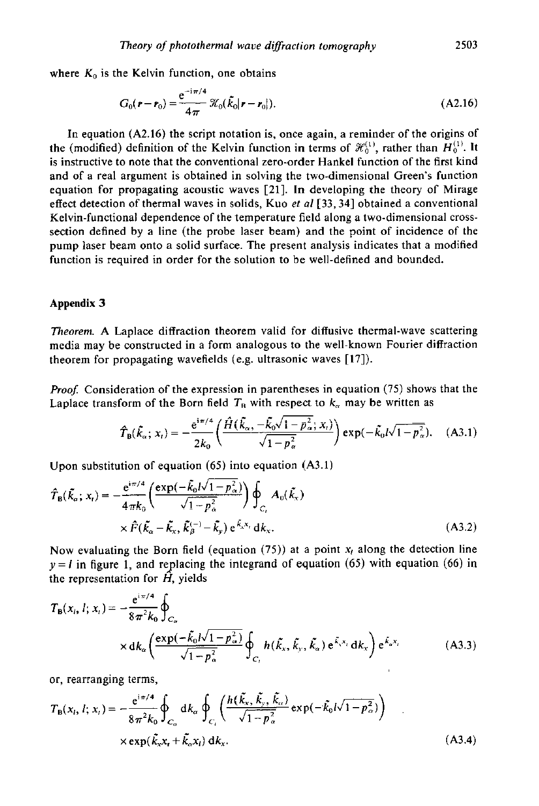where  $K_0$  is the Kelvin function, one obtains

$$
G_0(\mathbf{r} - \mathbf{r}_0) = \frac{e^{-i\pi/4}}{4\pi} \mathcal{K}_0(\tilde{k}_0|\mathbf{r} - \mathbf{r}_0|). \tag{A2.16}
$$

In equation **(A2.16)** the script notation is, once again, a reminder of the origins of the (modified) definition of the Kelvin function in terms of  $\mathcal{H}_0^{(1)}$ , rather than  $H_0^{(1)}$ . It is instructive to note that the conventional zero-order Hankel function of the first kind and of a real argument is obtained in solving the two-dimensional Green's function equation for propagating acoustic waves **[21].** In developing the theory of Mirage effect detection of thermal waves in solids, Kuo **et** *a1* **[33,34]** obtained **a** conventional Kelvin-functional dependence of the temperature field along a two-dimensional crosssection defined by a line (the probe laser beam) and the point of incidence of the pump laser beam onto a solid surface. The present analysis indicates that a modified function is required in order for the solution to be well-defined and bounded.

#### **Appendix 3**

*Theorem.* A Laplace diffraction theorem valid for diffusive thermal-wave scattering media may be constructed in a form analogous to the well-known Fourier diffraction theorem for propagating wavefields (e.g. ultrasonic waves **[17]).** 

*Proof.* Consideration of the expression in parentheses in equation (75) shows that the Laplace transform of the Born field  $T_R$  with respect to  $k_\alpha$  may be written as

$$
\hat{T}_{\rm B}(\tilde{k}_{\alpha}; x_{\rm t}) = -\frac{e^{i\pi/4}}{2k_0} \left( \frac{\hat{H}(\tilde{k}_{\alpha}, -\tilde{k}_{0}\sqrt{1-p_{\alpha}^{2}}; x_{\rm t})}{\sqrt{1-p_{\alpha}^{2}}} \right) \exp(-\tilde{k}_{0}l\sqrt{1-p_{\alpha}^{2}}). \quad (A3.1)
$$

Upon substitution of equation (65) into equation **(A3.1)** 

$$
\hat{T}_{\mathbf{B}}(\tilde{k}_{\alpha}; x_{\mathbf{r}}) = -\frac{e^{i\pi/4}}{4\pi k_0} \left( \frac{\exp(-\tilde{k}_0 I \sqrt{1 - p_{\alpha}^2})}{\sqrt{1 - p_{\alpha}^2}} \right) \oint_{C_{\mathbf{r}}} A_0(\tilde{k}_{\mathbf{x}})
$$
\n
$$
\times \hat{F}(\tilde{k}_{\alpha} - \tilde{k}_{\mathbf{x}}, \tilde{k}_{\beta}^{(-)} - \tilde{k}_{\mathbf{y}}) e^{\tilde{k}_{\mathbf{x}} \mathbf{x}_{\mathbf{r}}} d\mathbf{k}_{\mathbf{x}}.
$$
\n(A3.2)

Now evaluating the Born field (equation (75)) at a point  $x_i$  along the detection line  $y = l$  in figure 1, and replacing the integrand of equation (65) with equation (66) in the representation for *H,* yields

$$
T_{\mathbf{B}}(x_i, l; x_i) = -\frac{e^{i\pi/4}}{8\pi^2 k_0} \oint_{C_{\alpha}} \times dk_{\alpha} \left( \frac{\exp(-\tilde{k}_0 l \sqrt{1 - p_{\alpha}^2})}{\sqrt{1 - p_{\alpha}^2}} \oint_{C_i} h(\tilde{k}_x, \tilde{k}_y, \tilde{k}_{\alpha}) e^{\tilde{k}_x x_i} dk_x \right) e^{\tilde{k}_x x_i}
$$
 (A3.3)

or, rearranging terms,

$$
T_{B}(x_{i}, l; x_{i}) = -\frac{e^{i\pi/4}}{8\pi^{2}k_{0}} \oint_{C_{\alpha}} dk_{\alpha} \oint_{C_{i}} \left( \frac{h(\vec{k}_{x}, \vec{k}_{y}, \vec{k}_{\alpha})}{\sqrt{1-p_{\alpha}^{2}}} \exp(-\tilde{k_{0}}l\sqrt{1-p_{\alpha}^{2}}) \right)
$$
  
× exp( $\tilde{k}_{x}x_{t} + \tilde{k}_{\alpha}x_{i}$ ) d*k<sub>x</sub>*. (A3.4)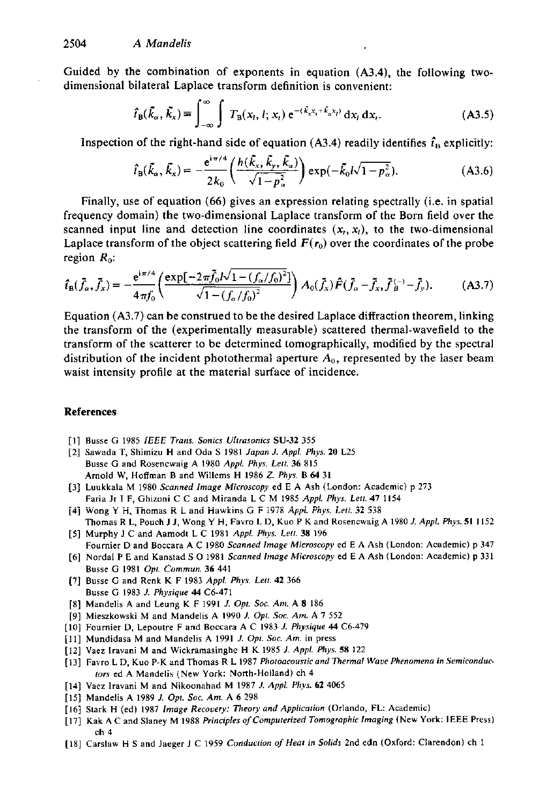Guided by the combination of exponents in equation **(A3.4),** the following twodimensional bilateral Laplace transform definition is convenient:

$$
\hat{t}_{\mathrm{B}}(\tilde{k}_{\alpha},\tilde{k}_{x})\equiv\int_{-\infty}^{\infty}\int T_{\mathrm{B}}(x_{i},l;x_{i})\,\mathrm{e}^{-(\tilde{k}_{x}x_{i}+\tilde{k}_{\alpha}x_{i})}\,\mathrm{d}x_{i}\,\mathrm{d}x_{i}.\tag{A3.5}
$$

Inspection of the right-hand side of equation  $(A3.4)$  readily identifies  $\hat{t}_B$  explicitly:

$$
\hat{t}_{\rm B}(\tilde{k}_{\alpha},\tilde{k}_{\alpha})=-\frac{\mathrm{e}^{i\pi/4}}{2k_0}\left(\frac{h(\tilde{k}_{\alpha},\tilde{k}_{\rm p},\tilde{k}_{\alpha})}{\sqrt{1-p_{\alpha}^2}}\right)\exp(-\tilde{k}_{0}l\sqrt{1-p_{\alpha}^2}).
$$
\n(A3.6)

Finally, use of equation *(66)* gives an expression relating spectrally (i.e. in spatial frequency domain) the two-dimensional Laplace transform of the Born field over the scanned input line and detection line coordinates  $(x_i, x_i)$ , to the two-dimensional Laplace transform of the object scattering field  $F(r_0)$  over the coordinates of the probe region  $R_0$ :

$$
\hat{t}_{\rm B}(\tilde{f}_{\alpha},\tilde{f}_{\alpha}) = -\frac{\mathrm{e}^{\mathrm{i}\pi/4}}{4\pi f_0} \left( \frac{\exp[-2\pi \tilde{f}_0 I \sqrt{1 - (f_{\alpha}/f_0)^2}]}{\sqrt{1 - (f_{\alpha}/f_0)^2}} \right) A_0(\tilde{f}_{\alpha}) \hat{F}(\tilde{f}_{\alpha} - \tilde{f}_{\alpha}, \tilde{f}_{\beta}^{(-)} - \tilde{f}_{\gamma}). \tag{A3.7}
$$

Equation **(A3.7)** can be construed to be the desired Laplace diffraction theorem, linking the transform of the (experimentally measurable) scattered thermal-wavefield to the transform of the scatterer to be determined tomographically, modified by the spectral distribution of the incident photothermal aperture *Ao,* represented by the laser beam waist intensity profile at the material surface of incidence.

#### References

- **[I]** BUSS^ **G 1985** *IEEE Trans. Sonic3 Ulrrosonics* **SU-32** *<sup>355</sup>*
- [2] Sawada **T,** Shimizu **H** and Oda **S 1981** *Japon J. Appl. Phys. 20* L25 **Busse** G and **Rosencwaig** A **1980** *Appl. Phys.* **Lerr. 36 815 Arnold** W, Hoffman B and **Willems H 1986** *Z. Phys.* **B** *64* **<sup>31</sup>**
- [3] Luukkala M **1980** *Scanned Image Microscopy* ed E A Ash (London: Academic) **p** 273 Faria **Jr** I F, Ghizoni C C and Miranda L C M **1985** *Appl. Phys. Leu.* **47 1154**
- **[4j Wang Y H. Thomas R i** and tiawkins G **F i9i8** *Appi. Ryr. L-ii.* **32** *<sup>53</sup>* **Thomas** R L, Pouch J J, Wong Y **H,** Favro L **D,** Kuo P K and **Rasencwaig** A **1980** J. *Appl. Phy.* **51 I152**
- **[5]** Murphy **J C** and Aamadt L C **1981** *Appl. Phys. Leil.* **38 196**  Fournier **D and** Boccara A C **1980** *Scanned Image Microscopy* ed E A Ash (London: Academic) p **347**
- **[6]** Nardal PE and Kanstad **<sup>S</sup>**0 **1981** Scanned *Image Microscopy* ed E A Ash (London: Academic) **p <sup>331</sup> Busse G 1981** *Opt. Commun.* **36 441**
- **[7] Busse G** and **Renk** K F **1983** *Appl. Phys. Lerr.* **42 366 Busse G 1983** *J. Physique* **44 C6-471**
- **[8]** Mandelis **A** and **Leung** K F **1991** *J. Opt Soc. Am.* A **8 186**
- **[9]** Miesrkowski M and Mandelis A **1990** *1. Opr. Soc. Am.* A *7* 552
- **[IO]** Faurnier **D,** Lepaulre F and Boccara A C **1983** *J. Physique* **44 C6-479**
- [Ill Mundidasa M and Mandelis A **1991** *1. Opr.* **Soc. Am.** in **press**
- **[I21 Vaez lravani** M and Wickramasinghe **H** K **1985** *J. Appl. Phyr.* **58** 122
- **[I31** Favro **L** D, Kuo P-K and Thomas R L **1987** *Phorooeourtieond Thermal Waur Phenomena in Semieonduc-IOIS* ed A Mandelis (New York: North-Holland) ch **4**
- **[I41 Vaez** lravani M and Nikoonahad M **1987** I. *Appl. Phys.* **62 <sup>4065</sup>**
- **[I51** Mandelis A **1989** *1. Opr.* **Sac.** *Am.* A *6* **298**
- **[I61** Stark **H** (ed) **1987** *Image Recovery:* Theory *and Appiicorion* (Orlando, FL Academic)
- **[I71 Kak** A **C** and **Slaney** M **1988** *Principle\$ of Computerized Tomographic Imaging* **(New** York: **IEEE** Press) **ch 4**
- **[I81 Carslaw H S** and **Jaeger** J C **1959** *Conducrion of* Hear *in Solids* 2nd **edn** (Oxford: Clarendon) ch 1